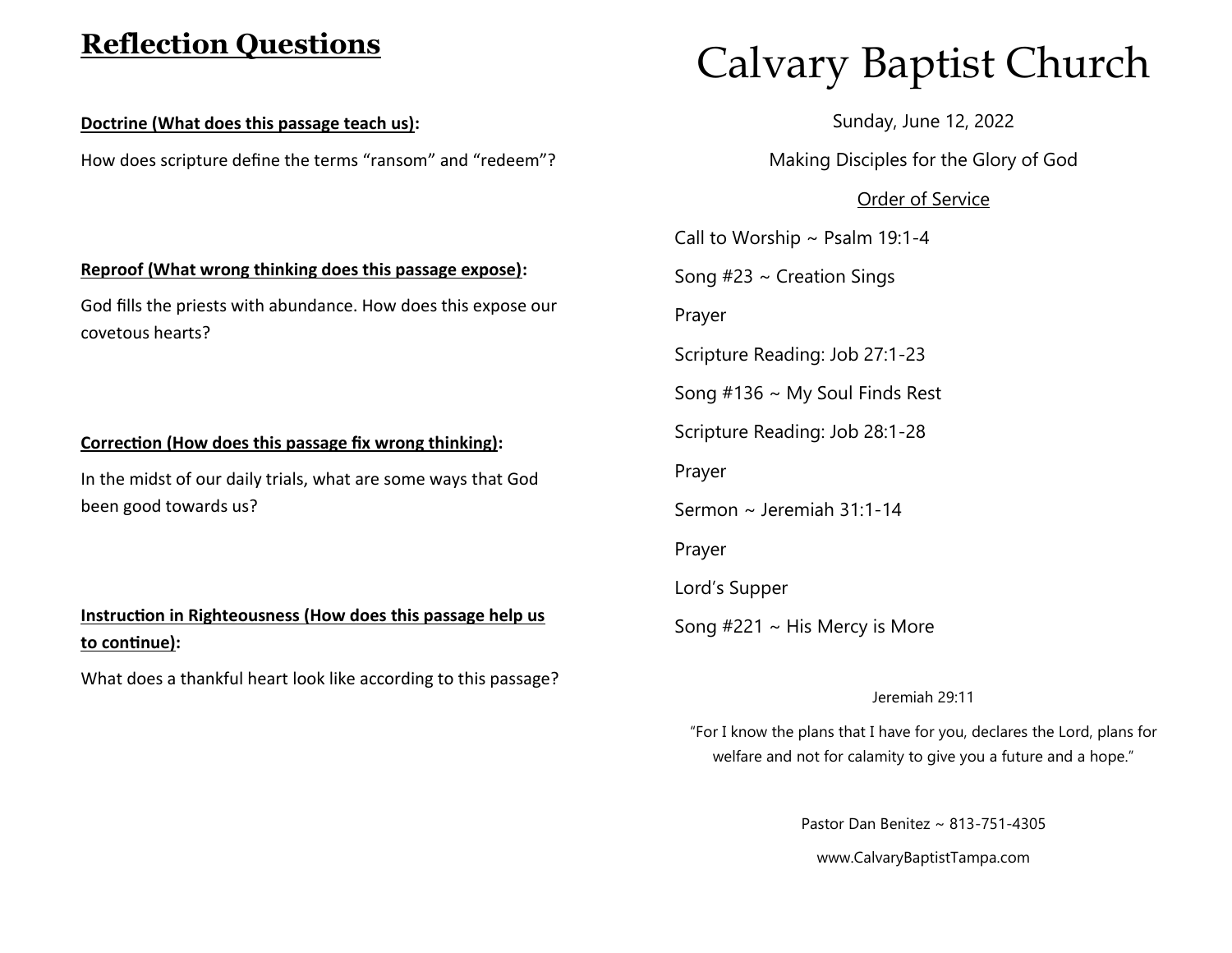## **Reflection Questions**

#### **Doctrine (What does this passage teach us):**

How does scripture define the terms "ransom" and "redeem"?

# Calvary Baptist Church

Sunday, June 12, 2022

Making Disciples for the Glory of God

#### Order of Service

Call to Worship  $\sim$  Psalm 19:1-4 Song  $#23 \sim$  Creation Sings Prayer Scripture Reading: Job 27:1-23 Song #136 ~ My Soul Finds Rest Scripture Reading: Job 28:1-28 Prayer Sermon ~ Jeremiah 31:1-14 Prayer Lord's Supper Song  $#221 \sim$  His Mercy is More

Jeremiah 29:11

"For I know the plans that I have for you, declares the Lord, plans for welfare and not for calamity to give you a future and a hope."

Pastor Dan Benitez ~ 813-751-4305

www.CalvaryBaptistTampa.com

#### **Reproof (What wrong thinking does this passage expose):**

God fills the priests with abundance. How does this expose our covetous hearts?

#### **Correction (How does this passage fix wrong thinking):**

In the midst of our daily trials, what are some ways that God been good towards us?

### **Instruction in Righteousness (How does this passage help us to continue):**

What does a thankful heart look like according to this passage?